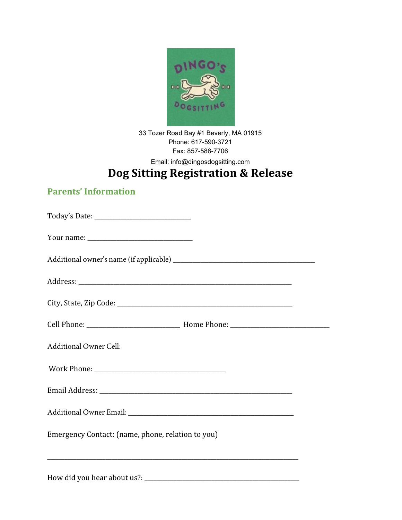

33 Tozer Road Bay #1 Beverly, MA 01915 Phone: 617-590-3721 Fax: 857-588-7706

Email: info@dingosdogsitting.com

# **Dog Sitting Registration & Release**

### **Parents' Information**

| Additional Owner Cell:                            |  |  |
|---------------------------------------------------|--|--|
|                                                   |  |  |
|                                                   |  |  |
|                                                   |  |  |
| Emergency Contact: (name, phone, relation to you) |  |  |
|                                                   |  |  |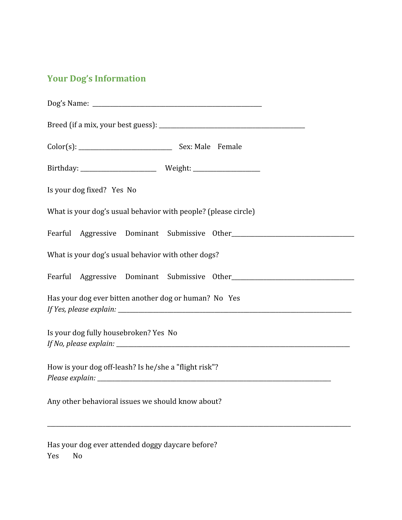## **Your Dog's Information**

| Is your dog fixed? Yes No                                      |  |  |
|----------------------------------------------------------------|--|--|
| What is your dog's usual behavior with people? (please circle) |  |  |
|                                                                |  |  |
| What is your dog's usual behavior with other dogs?             |  |  |
|                                                                |  |  |
| Has your dog ever bitten another dog or human? No Yes          |  |  |
| Is your dog fully housebroken? Yes No                          |  |  |
| How is your dog off-leash? Is he/she a "flight risk"?          |  |  |
| Any other behavioral issues we should know about?              |  |  |
| Has your dog ever attended doggy daycare before?               |  |  |

Yes No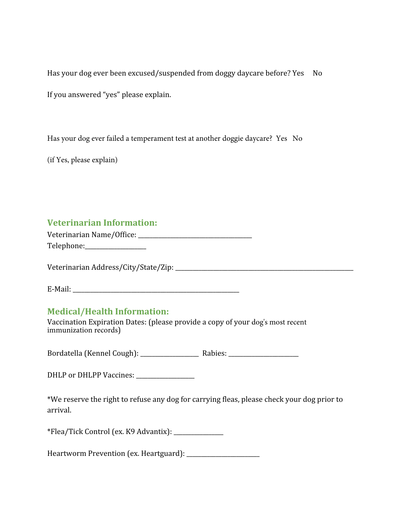Has your dog ever been excused/suspended from doggy daycare before? Yes No

If you answered "yes" please explain.

Has your dog ever failed a temperament test at another doggie daycare? Yes No

(if Yes, please explain)

#### **Veterinarian Information:**

| Veterinarian Name/Office: |  |
|---------------------------|--|
| Telephone:                |  |

Veterinarian Address/City/State/Zip:

E-Mail:

#### **Medical/Health Information:**

Vaccination Expiration Dates: (please provide a copy of your dog's most recent immunization records)

Bordatella (Kennel Cough): \_\_\_\_\_\_\_\_\_\_\_\_\_\_\_\_\_\_\_\_ Rabies: \_\_\_\_\_\_\_\_\_\_\_\_\_\_\_\_\_\_\_\_\_\_\_\_

DHLP or DHLPP Vaccines: \_\_\_\_\_\_\_\_\_\_\_\_\_\_\_\_\_\_\_\_

\*We reserve the right to refuse any dog for carrying fleas, please check your dog prior to arrival.

\*Flea/Tick Control (ex. K9 Advantix): \_\_\_\_\_\_\_\_\_\_\_\_\_\_\_\_\_

Heartworm Prevention (ex. Heartguard): \_\_\_\_\_\_\_\_\_\_\_\_\_\_\_\_\_\_\_\_\_\_\_\_\_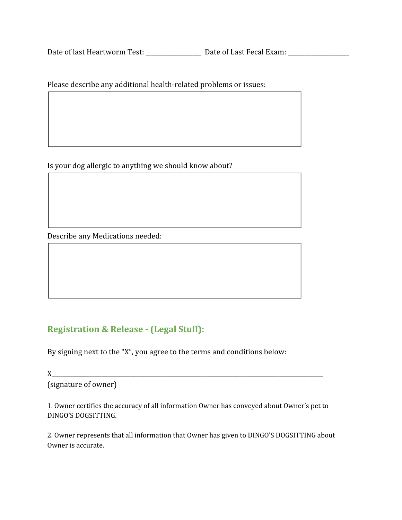Date of last Heartworm Test: \_\_\_\_\_\_\_\_\_\_\_\_\_\_\_\_\_\_\_ Date of Last Fecal Exam: \_\_\_\_\_\_\_\_\_\_\_\_\_\_\_\_\_\_\_\_\_

Please describe any additional health-related problems or issues:

Is your dog allergic to anything we should know about?

Describe any Medications needed:

### **Registration & Release - (Legal Stuff):**

By signing next to the "X", you agree to the terms and conditions below:

 $X$  and  $X$ 

(signature of owner)

1. Owner certifies the accuracy of all information Owner has conveyed about Owner's pet to DINGO'S DOGSITTING.

2. Owner represents that all information that Owner has given to DINGO'S DOGSITTING about Owner is accurate.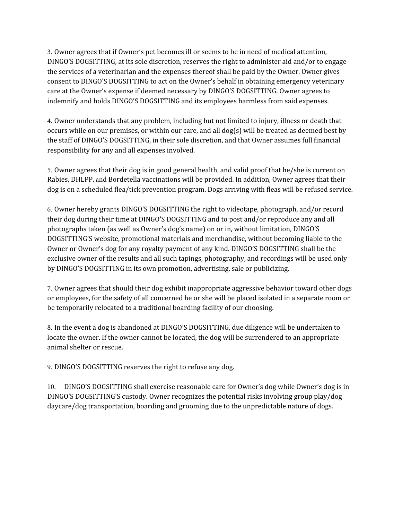3. Owner agrees that if Owner's pet becomes ill or seems to be in need of medical attention, DINGO'S DOGSITTING, at its sole discretion, reserves the right to administer aid and/or to engage the services of a veterinarian and the expenses thereof shall be paid by the Owner. Owner gives consent to DINGO'S DOGSITTING to act on the Owner's behalf in obtaining emergency veterinary care at the Owner's expense if deemed necessary by DINGO'S DOGSITTING. Owner agrees to indemnify and holds DINGO'S DOGSITTING and its employees harmless from said expenses.

4. Owner understands that any problem, including but not limited to injury, illness or death that occurs while on our premises, or within our care, and all  $\log(s)$  will be treated as deemed best by the staff of DINGO'S DOGSITTING, in their sole discretion, and that Owner assumes full financial responsibility for any and all expenses involved.

5. Owner agrees that their dog is in good general health, and valid proof that he/she is current on Rabies, DHLPP, and Bordetella vaccinations will be provided. In addition, Owner agrees that their dog is on a scheduled flea/tick prevention program. Dogs arriving with fleas will be refused service.

6. Owner hereby grants DINGO'S DOGSITTING the right to videotape, photograph, and/or record their dog during their time at DINGO'S DOGSITTING and to post and/or reproduce any and all photographs taken (as well as Owner's dog's name) on or in, without limitation, DINGO'S DOGSITTING'S website, promotional materials and merchandise, without becoming liable to the Owner or Owner's dog for any royalty payment of any kind. DINGO'S DOGSITTING shall be the exclusive owner of the results and all such tapings, photography, and recordings will be used only by DINGO'S DOGSITTING in its own promotion, advertising, sale or publicizing.

7. Owner agrees that should their dog exhibit inappropriate aggressive behavior toward other dogs or employees, for the safety of all concerned he or she will be placed isolated in a separate room or be temporarily relocated to a traditional boarding facility of our choosing.

8. In the event a dog is abandoned at DINGO'S DOGSITTING, due diligence will be undertaken to locate the owner. If the owner cannot be located, the dog will be surrendered to an appropriate animal shelter or rescue.

9. DINGO'S DOGSITTING reserves the right to refuse any dog.

10. DINGO'S DOGSITTING shall exercise reasonable care for Owner's dog while Owner's dog is in DINGO'S DOGSITTING'S custody. Owner recognizes the potential risks involving group play/dog daycare/dog transportation, boarding and grooming due to the unpredictable nature of dogs.